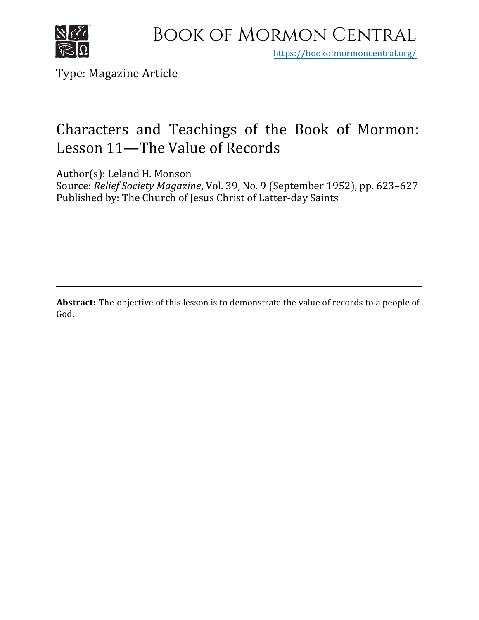

https[://bookofmormoncentral.org/](http://bookofmormoncentral.org/)

Type: Magazine Article

## Characters and Teachings of the Book of Mormon: Lesson 11—The Value of Records

Author(s): Leland H. Monson

Source: *Relief Society Magazine*, Vol. 39, No. 9 (September 1952), pp. 623–627 Published by: The Church of Jesus Christ of Latter-day Saints

**Abstract:** The objective of this lesson is to demonstrate the value of records to a people of God.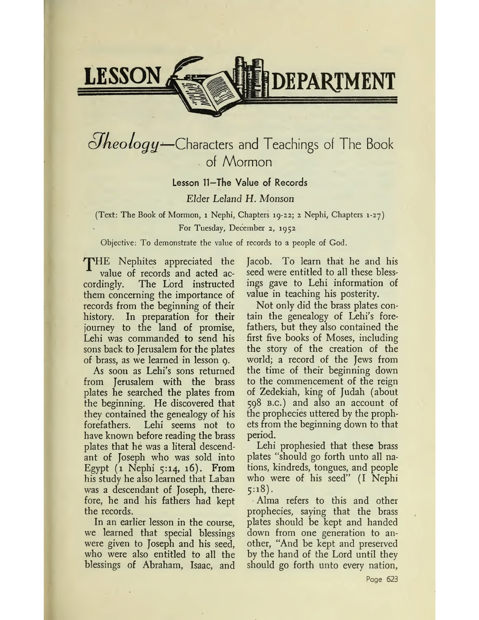

## *<i>Oheology*-Characters and Teachings of The Book of Mormon

### Lesson <sup>11</sup>—The Value of Records

### *Elder Leland H. Monson*

(Text: The Book of Mormon, <sup>1</sup> Nephi, Chapters 19-22; 2 Nephi, Chapters 1-27) For Tuesday, December 2, 1952

Objective: To demonstrate the value of records to a people of God.

THE Nephites appreciated the value of records and acted accordingly. The Lord instructed them concerning the importance of records from the beginning of their history. In preparation for their journey to the land of promise, Lehi was commanded to send his sons back to Jerusalem for the plates of brass, as we learned in lesson 9.

As soon as Lehi's sons returned from Jerusalem with the brass plates he searched the plates from the beginning. He discovered that they contained the genealogy of his forefathers. Lehi seems not to have known before reading the brass plates that he was a literal descendant of Joseph who was sold into Egypt  $(1 \text{Nephi } 5:14, 16)$ . From his study he also learned that Laban was a descendant of Joseph, therefore, he and his fathers had kept the records.

In an earlier lesson in the course, we learned that special blessings were given to Joseph and his seed, who were also entitled to all the blessings of Abraham, Isaac, and Jacob. To learn that he and his seed were entitled to all these blessings gave to Lehi information of value in teaching his posterity.

Not only did the brass plates contain the genealogy of Lehi's forefathers, but they also contained the first five books of Moses, including the story of the creation of the world; a record of the Jews from the time of their beginning down to the commencement of the reign of Zedekiah, king of Judah (about 598 b.c.) and also an account of the prophecies uttered by the prophets from the beginning down to that period.

Lehi prophesied that these brass plates <sup>4</sup>'should go forth unto all nations, kindreds, tongues, and people who were of his seed" (I Nephi  $5:18$ ).

Alma refers to this and other prophecies, saying that the brass plates should be kept and handed down from one generation to another, "And be kept and preserved by the hand of the Lord until they should go forth unto every nation,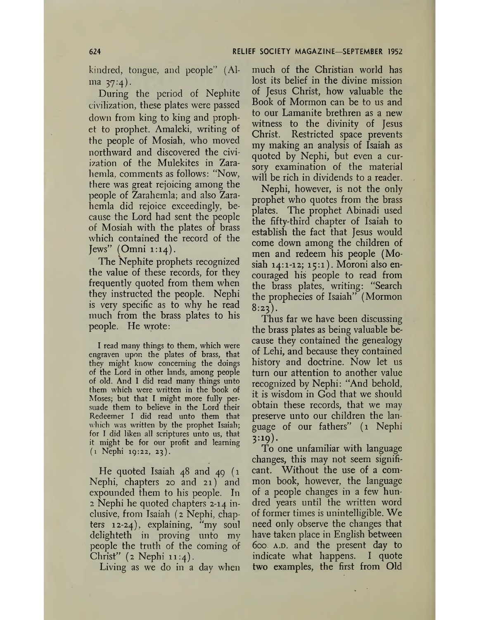kindred, tongue, and people" (Al $ma \; 37:4$ .

During the period of Nephite civilization, these plates were passed down from king to king and prophet to prophet. Amaleki, writing of the people of Mosiah, who moved northward and discovered the civiization of the Mulekites in Zarahemla, comments as follows: "Now, there was great rejoicing among the people of Zarahemla; and also Zarahemla did rejoice exceedingly, because the Lord had sent the people of Mosiah with the plates of brass which contained the record of the  $Jews''$  (Omni 1:14).

The Nephite prophets recognized the value of these records, for they frequently quoted from them when they instructed the people. Nephi is very specific as to why he read much from the brass plates to his people. He wrote:

I read many things to them, which were engraven upon the plates of brass, that they might know concerning the doings of the Lord in other lands, among people of old. And <sup>1</sup> did read many things unto them which were written in the book of Moses; but that I might more fully persuade them to believe in the Lord their Redeemer I did read unto them that which was written by the prophet Isaiah; for I did liken all scriptures unto us, that it might be for our profit and learning (1 Nephi 19:22, 23).

He quoted Isaiah 48 and 49 (1 Nephi, chapters 20 and 21) and expounded them to his people. In 2 Nephi he quoted chapters 2-14 inclusive, from Isaiah (2 Nephi, chap-<br>ters 12-24), explaining, "my soul ters  $12-24$ , explaining, delighteth in proving unto my people the truth of the coming of Christ"  $(z \text{ Nephi } 11:4)$ .

Living as we do in a day when

much of the Christian world has lost its belief in the divine mission of Jesus Christ, how valuable the Book of Mormon can be to us and to our Lamanite brethren as a new witness to the divinity of Jesus Christ. Restricted space prevents my making an analysis of Isaiah as quoted by Nephi, but even a cursory examination of the material will be rich in dividends to a reader.

Nephi, however, is not the only prophet who quotes from the brass plates. The prophet Abinadi used the fifty-third chapter of Isaiah to establish the fact that Jesus would come down among the children of men and redeem his people (Mosiah 14:1-12; 15:1). Moroni also encouraged his people to read from the brass plates, writing: "Search the prophecies of Isaiah" (Mormon  $8:23$ ).

Thus far we have been discussing the brass plates as being valuable because they contained the genealogy of Lehi, and because they contained history and doctrine. Now let us turn our attention to another value recognized by Nephi: "And behold, it is wisdom in God that we should obtain these records, that we may preserve unto our children the language of our fathers" (1 Nephi 3:19).

To one unfamiliar with language changes, this may not seem significant. Without the use of a common book, however, the language of a people changes in a few hundred years until the written word of former times is unintelligible. We need only observe the changes that have taken place in English between 600. a.d. and the present day to indicate what happens. I quote two examples, the first from Old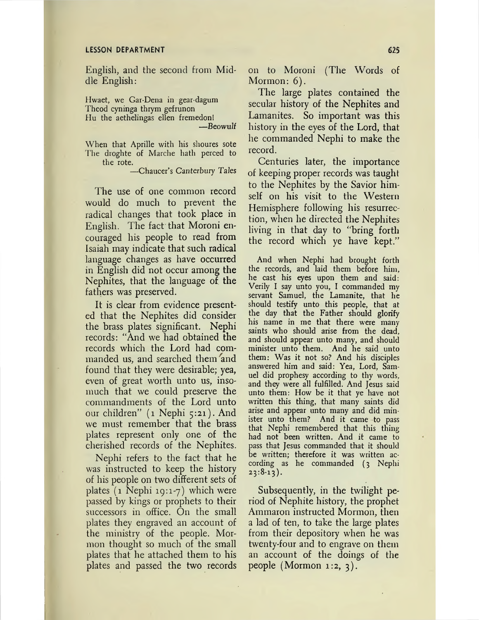#### **LESSON DEPARTMENT**

English, and the second from Middle English:

Hwaet, we Gar-Dena in gear-dagum Theod cyninga thrym gefrunon Hu the aethelingas ellen fremedonl

-Beowulf

When that Aprille with his shoures sote The droghte of Marche hath perced to the rote.

-Chaucer's Canterbury Tales

The use of one common record would do much to prevent the radical changes that took place in English. The fact that Moroni encouraged his people to read from Isaiah may indicate that such radical language changes as have occurred in English did not occur among the Nephites, that the language of the fathers was preserved.

It is clear from evidence presented that the Nephites did consider the brass plates significant. Nephi records: "And we had obtained the records which the Lord had commanded us, and searched them and found that they were desirable; yea, even of great worth unto us, insomuch that we could preserve the commandments of the Lord unto our children" (1 Nephi 5:21). And we must remember that the brass plates represent only one of the cherished records of the Nephites.

Nephi refers to the fact that he was instructed to keep the history of his people on two different sets of plates  $(1$  Nephi 19:1-7) which were passed by kings or prophets to their successors in office. On the small plates they engraved an account of the ministry of the people. Mormon thought so much of the small plates that he attached them to his plates and passed the two records

on to Moroni (The Words of Mormon:  $6$ ).

The large plates contained the secular history of the Nephites and Lamanites. So important was this history in the eyes of the Lord, that he commanded Nephi to make the record.

Centuries later, the importance of keeping proper records was taught to the Nephites by the Savior himself on his visit to the Western Hemisphere following his resurrection, when he directed the Nephites living in that day to "bring forth the record which ye have kept."

And when Nephi had brought forth the records, and laid them before him, he cast his eyes upon them and said: Verily I say unto you, I commanded my servant Samuel, the Lamanite, that he should testify unto this people, that at the day that the Father should glorify his name in me that there were many saints who should arise from the dead, and should appear unto many, and should minister unto them. And he said unto them: Was it not so? And his disciples answered him and said: Yea, Lord, Samuel did prophesy according to thy words, and they were all fulfilled. And Jesus said unto them: How be it that ye have not written this thing, that many saints did arise and appear unto many and did minister unto them? And it came - to pass that Nephi remembered that this thing had not been written. And it came to pass that Jesus commanded that it should be written; therefore it was written according as he commanded (3 Nephi  $23:8-13$ .

Subsequently, in the twilight period of Nephite history, the prophet Ammaron instructed Mormon, then a lad of ten, to take the large plates from their depository when he was twenty-four and to engrave on them an account of the doings of the people (Mormon 1:2,  $3$ ).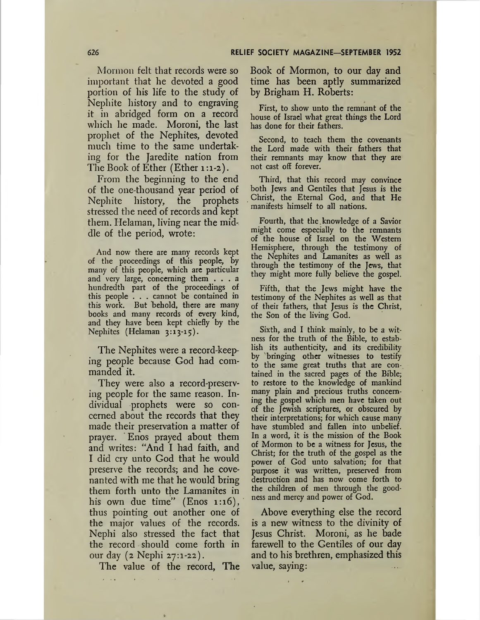Mormon felt that records were so important that he devoted a good portion of his life to the study of Nephite history and to engraving it in abridged form on a record which he made. Moroni, the last prophet of the Nephites, devoted much time to the same undertaking for the Jaredite nation from The Book of Ether (Ether 1:1-2).

From the beginning to the end of the one-thousand year period of Nephite history, the prophets stressed the need of records and kept them. Helaman, living near the middle of the period, wrote:

And now there are many records kept of the proceedings of this people, by many of this people, which are particular and very large, concerning them ... <sup>a</sup> hundredth part of the proceedings of this people . . . cannot be contained in this work. But behold, there are many books and many records of every kind, and they have been kept chiefly by the Nephites (Helaman 3:13-15).

The Nephites were a record-keeping people because God had commanded it.

They were also a record-preserving people for the same reason. Individual prophets were so concerned about the records that they made their preservation a matter of prayer. Enos prayed about them and writes: "And I had faith, and I did cry unto God that he would preserve the records; and he covenanted with me that he would bring them forth unto the Lamanites in his own due time" (Enos 1:16), thus pointing out another one of the major values of the records. Nephi also stressed the fact that the record should come forth in our day (2 Nephi 27:1-22).

The value of the record, The

Book of Mormon, to our day and time has been aptly summarized by Brigham H. Roberts:

First, to show unto the remnant of the house of Israel what great things the Lord has done for their fathers.

Second, to teach them the covenants the Lord made with their fathers that their remnants may know that they are not cast off forever.

Third, that this record may convince both Jews and Gentiles that Jesus is the Christ, the Eternal God, and that He manifests himself to all nations.

Fourth, that the knowledge of a Savior might come especially to the remnants of the house of Israel on the Western Hemisphere, through the testimony of the Nephites and Lamanites as well as through the testimony of the Jews, that they might more fully believe the gospel.

Fifth, that the Jews might have the testimony of the Nephites as well as that of their fathers, that Jesus is the Christ, the Son of the living God.

Sixth, and I think mainly, to be a witness for the truth of the Bible, to establish its authenticity, and its credibility by bringing other witnesses to testify to the same great truths that are contained in the sacred pages of the Bible; to restore to the knowledge of mankind many plain and precious truths concerning the gospel which men have taken out of the Jewish scriptures, or obscured by their interpretations; for which cause many have stumbled and fallen into unbelief. In a word, it is the mission of the Book of Mormon to be a witness for Jesus, the Christ; for the truth of the gospel as the power of God unto salvation; for that purpose it was written, preserved from destruction and has now come forth to the children of men through the goodness and mercy and power of God.

Above everything else the record is a new witness to the divinity of Jesus Christ. Moroni, as he bade farewell to the Gentiles of our day and to his brethren, emphasized this value, saying: